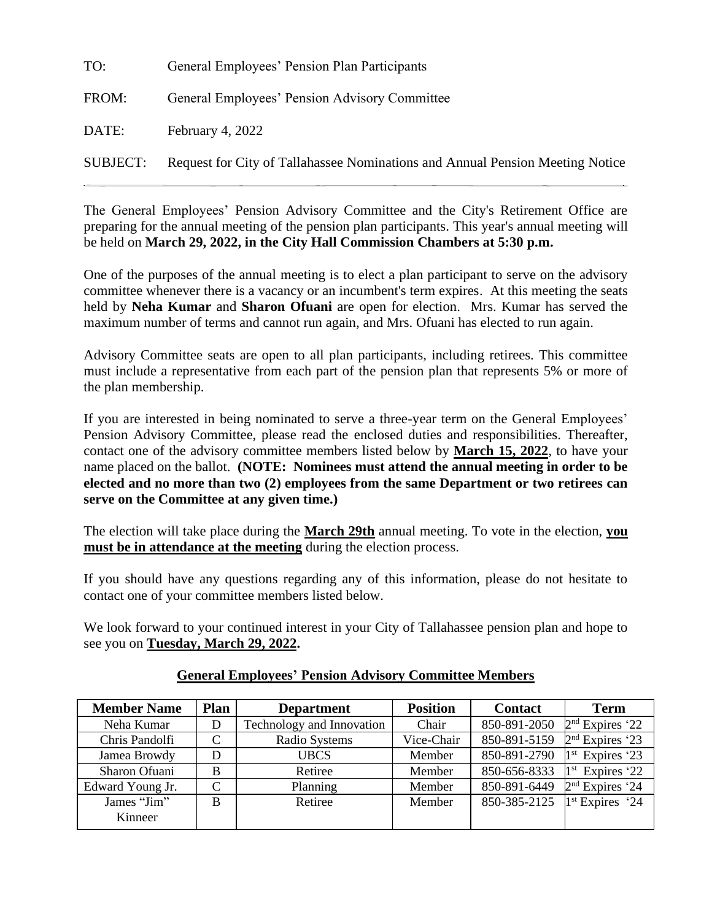| TO:      | General Employees' Pension Plan Participants                                  |
|----------|-------------------------------------------------------------------------------|
| FROM:    | General Employees' Pension Advisory Committee                                 |
| DATE:    | February 4, 2022                                                              |
| SUBJECT: | Request for City of Tallahassee Nominations and Annual Pension Meeting Notice |

The General Employees' Pension Advisory Committee and the City's Retirement Office are preparing for the annual meeting of the pension plan participants. This year's annual meeting will be held on **March 29, 2022, in the City Hall Commission Chambers at 5:30 p.m.**

One of the purposes of the annual meeting is to elect a plan participant to serve on the advisory committee whenever there is a vacancy or an incumbent's term expires. At this meeting the seats held by **Neha Kumar** and **Sharon Ofuani** are open for election. Mrs. Kumar has served the maximum number of terms and cannot run again, and Mrs. Ofuani has elected to run again.

Advisory Committee seats are open to all plan participants, including retirees. This committee must include a representative from each part of the pension plan that represents 5% or more of the plan membership.

If you are interested in being nominated to serve a three-year term on the General Employees' Pension Advisory Committee, please read the enclosed duties and responsibilities. Thereafter, contact one of the advisory committee members listed below by **March 15, 2022**, to have your name placed on the ballot. **(NOTE: Nominees must attend the annual meeting in order to be elected and no more than two (2) employees from the same Department or two retirees can serve on the Committee at any given time.)**

The election will take place during the **March 29th** annual meeting. To vote in the election, **you must be in attendance at the meeting** during the election process.

If you should have any questions regarding any of this information, please do not hesitate to contact one of your committee members listed below.

We look forward to your continued interest in your City of Tallahassee pension plan and hope to see you on **Tuesday, March 29, 2022.**

| <b>Member Name</b> | Plan | <b>Department</b>         | <b>Position</b> | <b>Contact</b> | <b>Term</b>                 |
|--------------------|------|---------------------------|-----------------|----------------|-----------------------------|
| Neha Kumar         | D    | Technology and Innovation | Chair           | 850-891-2050   | $2nd$ Expires '22           |
| Chris Pandolfi     | C    | Radio Systems             | Vice-Chair      | 850-891-5159   | $2nd$ Expires '23           |
| Jamea Browdy       | D    | <b>UBCS</b>               | Member          | 850-891-2790   | 1 <sup>st</sup> Expires '23 |
| Sharon Ofuani      | B    | Retiree                   | Member          | 850-656-8333   | $1st$ Expires '22           |
| Edward Young Jr.   | C    | Planning                  | Member          | 850-891-6449   | $2nd$ Expires '24           |
| James "Jim"        | B    | Retiree                   | Member          | 850-385-2125   | $1st$ Expires '24           |
| Kinneer            |      |                           |                 |                |                             |

## **General Employees' Pension Advisory Committee Members**